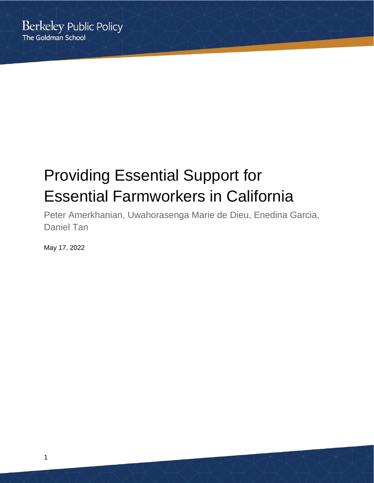# Providing Essential Support for Essential Farmworkers in California

Peter Amerkhanian, Uwahorasenga Marie de Dieu, Enedina Garcia, Daniel Tan

May 17, 2022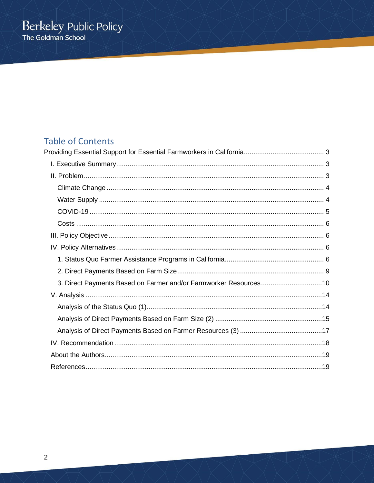# **Table of Contents**

| 3. Direct Payments Based on Farmer and/or Farmworker Resources10 |
|------------------------------------------------------------------|
|                                                                  |
|                                                                  |
|                                                                  |
|                                                                  |
|                                                                  |
|                                                                  |
|                                                                  |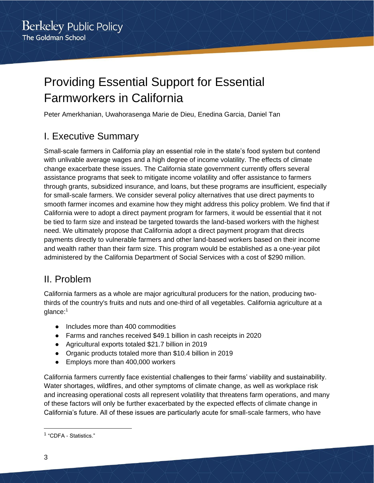# <span id="page-2-0"></span>Providing Essential Support for Essential Farmworkers in California

<span id="page-2-1"></span>Peter Amerkhanian, Uwahorasenga Marie de Dieu, Enedina Garcia, Daniel Tan

# I. Executive Summary

Small-scale farmers in California play an essential role in the state's food system but contend with unlivable average wages and a high degree of income volatility. The effects of climate change exacerbate these issues. The California state government currently offers several assistance programs that seek to mitigate income volatility and offer assistance to farmers through grants, subsidized insurance, and loans, but these programs are insufficient, especially for small-scale farmers. We consider several policy alternatives that use direct payments to smooth farmer incomes and examine how they might address this policy problem. We find that if California were to adopt a direct payment program for farmers, it would be essential that it not be tied to farm size and instead be targeted towards the land-based workers with the highest need. We ultimately propose that California adopt a direct payment program that directs payments directly to vulnerable farmers and other land-based workers based on their income and wealth rather than their farm size. This program would be established as a one-year pilot administered by the California Department of Social Services with a cost of \$290 million.

# <span id="page-2-2"></span>II. Problem

California farmers as a whole are major agricultural producers for the nation, producing twothirds of the country's fruits and nuts and one-third of all vegetables. California agriculture at a glance:<sup>1</sup>

- Includes more than 400 commodities
- Farms and ranches received \$49.1 billion in cash receipts in 2020
- Agricultural exports totaled \$21.7 billion in 2019
- Organic products totaled more than \$10.4 billion in 2019
- Employs more than 400,000 workers

California farmers currently face existential challenges to their farms' viability and sustainability. Water shortages, wildfires, and other symptoms of climate change, as well as workplace risk and increasing operational costs all represent volatility that threatens farm operations, and many of these factors will only be further exacerbated by the expected effects of climate change in California's future. All of these issues are particularly acute for small-scale farmers, who have

<sup>&</sup>lt;sup>1</sup> "CDFA - Statistics."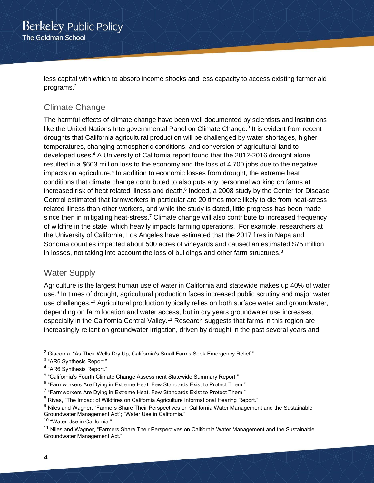less capital with which to absorb income shocks and less capacity to access existing farmer aid programs.<sup>2</sup>

# <span id="page-3-0"></span>Climate Change

The harmful effects of climate change have been well documented by scientists and institutions like the United Nations Intergovernmental Panel on Climate Change.<sup>3</sup> It is evident from recent droughts that California agricultural production will be challenged by water shortages, higher temperatures, changing atmospheric conditions, and conversion of agricultural land to developed uses.<sup>4</sup> A University of California report found that the 2012-2016 drought alone resulted in a \$603 million loss to the economy and the loss of 4,700 jobs due to the negative impacts on agriculture.<sup>5</sup> In addition to economic losses from drought, the extreme heat conditions that climate change contributed to also puts any personnel working on farms at increased risk of heat related illness and death.<sup>6</sup> Indeed, a 2008 study by the Center for Disease Control estimated that farmworkers in particular are 20 times more likely to die from heat-stress related illness than other workers, and while the study is dated, little progress has been made since then in mitigating heat-stress.<sup>7</sup> Climate change will also contribute to increased frequency of wildfire in the state, which heavily impacts farming operations. For example, researchers at the University of California, Los Angeles have estimated that the 2017 fires in Napa and Sonoma counties impacted about 500 acres of vineyards and caused an estimated \$75 million in losses, not taking into account the loss of buildings and other farm structures. $8$ 

### <span id="page-3-1"></span>Water Supply

Agriculture is the largest human use of water in California and statewide makes up 40% of water use.<sup>9</sup> In times of drought, agricultural production faces increased public scrutiny and major water use challenges.<sup>10</sup> Agricultural production typically relies on both surface water and groundwater, depending on farm location and water access, but in dry years groundwater use increases, especially in the California Central Valley.<sup>11</sup> Research suggests that farms in this region are increasingly reliant on groundwater irrigation, driven by drought in the past several years and

<sup>&</sup>lt;sup>2</sup> Giacoma, "As Their Wells Dry Up, California's Small Farms Seek Emergency Relief."

 $^3$  "AR6 Synthesis Report."

<sup>&</sup>lt;sup>4</sup> "AR6 Synthesis Report."

<sup>&</sup>lt;sup>5</sup> "California's Fourth Climate Change Assessment Statewide Summary Report."

 $^6$  "Farmworkers Are Dying in Extreme Heat. Few Standards Exist to Protect Them."

 $^7$  "Farmworkers Are Dying in Extreme Heat. Few Standards Exist to Protect Them."

<sup>&</sup>lt;sup>8</sup> Rivas, "The Impact of Wildfires on California Agriculture Informational Hearing Report."

<sup>&</sup>lt;sup>9</sup> Niles and Wagner, "Farmers Share Their Perspectives on California Water Management and the Sustainable Groundwater Management Act"; "Water Use in California."

<sup>10 &</sup>quot;Water Use in California."

<sup>&</sup>lt;sup>11</sup> Niles and Wagner, "Farmers Share Their Perspectives on California Water Management and the Sustainable Groundwater Management Act."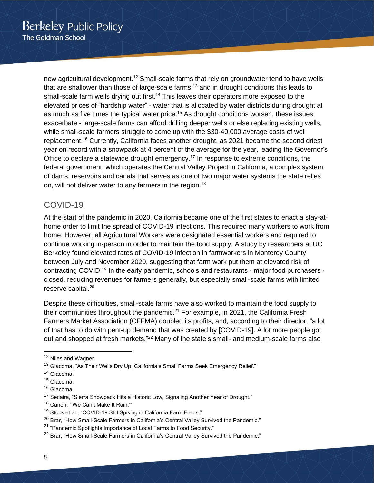new agricultural development.<sup>12</sup> Small-scale farms that rely on groundwater tend to have wells that are shallower than those of large-scale farms, $13$  and in drought conditions this leads to small-scale farm wells drying out first.<sup>14</sup> This leaves their operators more exposed to the elevated prices of "hardship water" - water that is allocated by water districts during drought at as much as five times the typical water price.<sup>15</sup> As drought conditions worsen, these issues exacerbate - large-scale farms can afford drilling deeper wells or else replacing existing wells, while small-scale farmers struggle to come up with the \$30-40,000 average costs of well replacement.<sup>16</sup> Currently, California faces another drought, as 2021 became the second driest year on record with a snowpack at 4 percent of the average for the year, leading the Governor's Office to declare a statewide drought emergency.<sup>17</sup> In response to extreme conditions, the federal government, which operates the Central Valley Project in California, a complex system of dams, reservoirs and canals that serves as one of two major water systems the state relies on, will not deliver water to any farmers in the region.<sup>18</sup>

### <span id="page-4-0"></span>COVID-19

At the start of the pandemic in 2020, California became one of the first states to enact a stay-athome order to limit the spread of COVID-19 infections. This required many workers to work from home. However, all Agricultural Workers were designated essential workers and required to continue working in-person in order to maintain the food supply. A study by researchers at UC Berkeley found elevated rates of COVID-19 infection in farmworkers in Monterey County between July and November 2020, suggesting that farm work put them at elevated risk of contracting COVID.<sup>19</sup> In the early pandemic, schools and restaurants - major food purchasers closed, reducing revenues for farmers generally, but especially small-scale farms with limited reserve capital.<sup>20</sup>

Despite these difficulties, small-scale farms have also worked to maintain the food supply to their communities throughout the pandemic. $21$  For example, in 2021, the California Fresh Farmers Market Association (CFFMA) doubled its profits, and, according to their director, "a lot of that has to do with pent-up demand that was created by [COVID-19]. A lot more people got out and shopped at fresh markets."<sup>22</sup> Many of the state's small- and medium-scale farms also

<sup>&</sup>lt;sup>12</sup> Niles and Wagner.

<sup>&</sup>lt;sup>13</sup> Giacoma, "As Their Wells Dry Up, California's Small Farms Seek Emergency Relief."

<sup>&</sup>lt;sup>14</sup> Giacoma.

<sup>15</sup> Giacoma.

<sup>&</sup>lt;sup>16</sup> Giacoma.

<sup>&</sup>lt;sup>17</sup> Secaira, "Sierra Snowpack Hits a Historic Low, Signaling Another Year of Drought."

<sup>&</sup>lt;sup>18</sup> Canon, "'We Can't Make It Rain.'"

<sup>&</sup>lt;sup>19</sup> Stock et al., "COVID-19 Still Spiking in California Farm Fields."

 $20$  Brar, "How Small-Scale Farmers in California's Central Valley Survived the Pandemic."

<sup>21</sup> "Pandemic Spotlights Importance of Local Farms to Food Security."

<sup>&</sup>lt;sup>22</sup> Brar, "How Small-Scale Farmers in California's Central Valley Survived the Pandemic."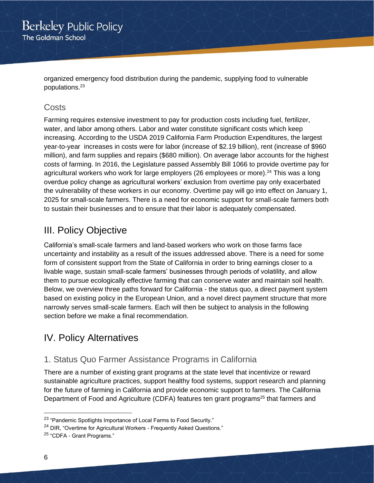organized emergency food distribution during the pandemic, supplying food to vulnerable populations.<sup>23</sup>

### <span id="page-5-0"></span>**Costs**

Farming requires extensive investment to pay for production costs including fuel, fertilizer, water, and labor among others. Labor and water constitute significant costs which keep increasing. According to the USDA 2019 California Farm Production Expenditures, the largest year-to-year increases in costs were for labor (increase of \$2.19 billion), rent (increase of \$960 million), and farm supplies and repairs (\$680 million). On average labor accounts for the highest costs of farming. In 2016, the Legislature passed Assembly Bill 1066 to provide overtime pay for agricultural workers who work for large employers (26 employees or more).<sup>24</sup> This was a long overdue policy change as agricultural workers' exclusion from overtime pay only exacerbated the vulnerability of these workers in our economy. Overtime pay will go into effect on January 1, 2025 for small-scale farmers. There is a need for economic support for small-scale farmers both to sustain their businesses and to ensure that their labor is adequately compensated.

# <span id="page-5-1"></span>III. Policy Objective

California's small-scale farmers and land-based workers who work on those farms face uncertainty and instability as a result of the issues addressed above. There is a need for some form of consistent support from the State of California in order to bring earnings closer to a livable wage, sustain small-scale farmers' businesses through periods of volatility, and allow them to pursue ecologically effective farming that can conserve water and maintain soil health. Below, we overview three paths forward for California - the status quo, a direct payment system based on existing policy in the European Union, and a novel direct payment structure that more narrowly serves small-scale farmers. Each will then be subject to analysis in the following section before we make a final recommendation.

# <span id="page-5-2"></span>IV. Policy Alternatives

# <span id="page-5-3"></span>1. Status Quo Farmer Assistance Programs in California

There are a number of existing grant programs at the state level that incentivize or reward sustainable agriculture practices, support healthy food systems, support research and planning for the future of farming in California and provide economic support to farmers. The California Department of Food and Agriculture (CDFA) features ten grant programs<sup>25</sup> that farmers and

<sup>23</sup> "Pandemic Spotlights Importance of Local Farms to Food Security."

<sup>&</sup>lt;sup>24</sup> DIR, "Overtime for Agricultural Workers - Frequently Asked Questions."

<sup>25</sup> "CDFA - Grant Programs."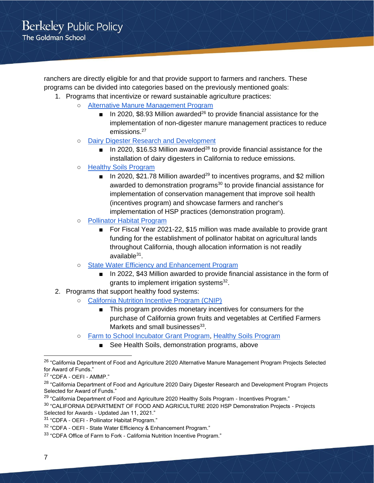ranchers are directly eligible for and that provide support to farmers and ranchers. These programs can be divided into categories based on the previously mentioned goals:

- 1. Programs that incentivize or reward sustainable agriculture practices:
	- [Alternative Manure Management Program](https://www.cdfa.ca.gov/oefi/ammp/)
		- In 2020, \$8.93 Million awarded<sup>26</sup> to provide financial assistance for the implementation of non-digester manure management practices to reduce emissions.<sup>27</sup>
	- [Dairy Digester Research and Development](https://www.cdfa.ca.gov/oefi/ddrdp/)
		- In 2020, \$16.53 Million awarded<sup>28</sup> to provide financial assistance for the installation of dairy digesters in California to reduce emissions.
	- [Healthy Soils Program](https://www.cdfa.ca.gov/oefi/healthysoils/)
		- In 2020, \$21.78 Million awarded<sup>29</sup> to incentives programs, and \$2 million awarded to demonstration programs<sup>30</sup> to provide financial assistance for implementation of conservation management that improve soil health (incentives program) and showcase farmers and rancher's implementation of HSP practices (demonstration program).
	- [Pollinator Habitat Program](https://www.cdfa.ca.gov/oefi/php/)
		- For Fiscal Year 2021-22, \$15 million was made available to provide grant funding for the establishment of pollinator habitat on agricultural lands throughout California, though allocation information is not readily available<sup>31</sup>.
	- [State Water Efficiency and Enhancement Program](https://www.cdfa.ca.gov/oefi/sweep/)
		- In 2022, \$43 Million awarded to provide financial assistance in the form of grants to implement irrigation systems<sup>32</sup>.
- 2. Programs that support healthy food systems:
	- [California Nutrition Incentive Program \(CNIP\)](https://cafarmtofork.cdfa.ca.gov/cnip.html)
		- This program provides monetary incentives for consumers for the purchase of California grown fruits and vegetables at Certified Farmers Markets and small businesses<sup>33</sup>.
	- [Farm to School Incubator Grant Program,](https://cafarmtofork.cdfa.ca.gov/CaFarmtoSchoolProgram.htm#igp) [Healthy Soils Program](https://www.cdfa.ca.gov/oefi/healthysoils/)
		- See Health Soils, demonstration programs, above

<sup>&</sup>lt;sup>26</sup> "California Department of Food and Agriculture 2020 Alternative Manure Management Program Projects Selected for Award of Funds."

<sup>27</sup> "CDFA - OEFI - AMMP."

<sup>&</sup>lt;sup>28</sup> "California Department of Food and Agriculture 2020 Dairy Digester Research and Development Program Projects Selected for Award of Funds."

<sup>&</sup>lt;sup>29</sup> "California Department of Food and Agriculture 2020 Healthy Soils Program - Incentives Program."

<sup>&</sup>lt;sup>30</sup> "CALIFORNIA DEPARTMENT OF FOOD AND AGRICULTURE 2020 HSP Demonstration Projects - Projects Selected for Awards - Updated Jan 11, 2021."

<sup>31</sup> "CDFA - OEFI - Pollinator Habitat Program."

<sup>32</sup> "CDFA - OEFI - State Water Efficiency & Enhancement Program."

<sup>&</sup>lt;sup>33</sup> "CDFA Office of Farm to Fork - California Nutrition Incentive Program."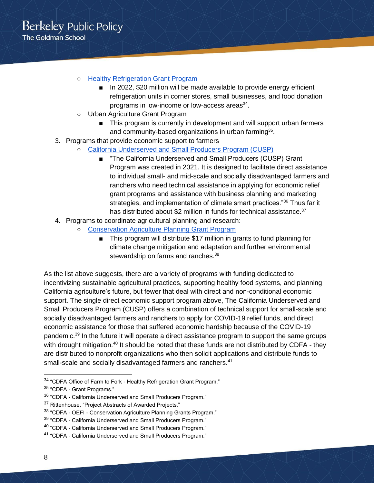- [Healthy Refrigeration Grant Program](https://cafarmtofork.cdfa.ca.gov/hsrgp.html)
	- In 2022, \$20 million will be made available to provide energy efficient refrigeration units in corner stores, small businesses, and food donation programs in low-income or low-access areas<sup>34</sup>.
- Urban Agriculture Grant Program
	- This program is currently in development and will support urban farmers and community-based organizations in urban farming<sup>35</sup>.
- 3. Programs that provide economic support to farmers
	- [California Underserved and Small Producers Program \(CUSP\)](https://www.cdfa.ca.gov/CUSP/)
		- "The California Underserved and Small Producers (CUSP) Grant Program was created in 2021. It is designed to facilitate direct assistance to individual small- and mid-scale and socially disadvantaged farmers and ranchers who need technical assistance in applying for economic relief grant programs and assistance with business planning and marketing strategies, and implementation of climate smart practices."<sup>36</sup> Thus far it has distributed about \$2 million in funds for technical assistance.<sup>37</sup>
- 4. Programs to coordinate agricultural planning and research:
	- [Conservation Agriculture Planning Grant Program](https://www.cdfa.ca.gov/oefi/planning/)
		- This program will distribute \$17 million in grants to fund planning for climate change mitigation and adaptation and further environmental stewardship on farms and ranches.<sup>38</sup>

As the list above suggests, there are a variety of programs with funding dedicated to incentivizing sustainable agricultural practices, supporting healthy food systems, and planning California agriculture's future, but fewer that deal with direct and non-conditional economic support. The single direct economic support program above, The [California Underserved and](https://www.cdfa.ca.gov/CUSP/)  [Small Producers Program \(CUSP\)](https://www.cdfa.ca.gov/CUSP/) offers a combination of technical support for small-scale and socially disadvantaged farmers and ranchers to apply for COVID-19 relief funds, and direct economic assistance for those that suffered economic hardship because of the COVID-19 pandemic.<sup>39</sup> In the future it will operate a direct assistance program to support the same groups with drought mitigation.<sup>40</sup> It should be noted that these funds are not distributed by CDFA - they are distributed to nonprofit organizations who then solicit applications and distribute funds to small-scale and socially disadvantaged farmers and ranchers.<sup>41</sup>

<sup>&</sup>lt;sup>34</sup> "CDFA Office of Farm to Fork - Healthy Refrigeration Grant Program."

<sup>35</sup> "CDFA - Grant Programs."

<sup>36</sup> "CDFA - California Underserved and Small Producers Program."

<sup>&</sup>lt;sup>37</sup> Rittenhouse, "Project Abstracts of Awarded Projects."

<sup>&</sup>lt;sup>38</sup> "CDFA - OEFI - Conservation Agriculture Planning Grants Program."

<sup>&</sup>lt;sup>39</sup> "CDFA - California Underserved and Small Producers Program."

<sup>40</sup> "CDFA - California Underserved and Small Producers Program."

<sup>41</sup> "CDFA - California Underserved and Small Producers Program."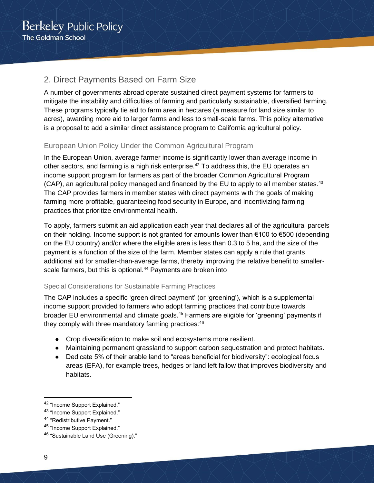# <span id="page-8-0"></span>2. Direct Payments Based on Farm Size

A number of governments abroad operate sustained direct payment systems for farmers to mitigate the instability and difficulties of farming and particularly sustainable, diversified farming. These programs typically tie aid to farm area in hectares (a measure for land size similar to acres), awarding more aid to larger farms and less to small-scale farms. This policy alternative is a proposal to add a similar direct assistance program to California agricultural policy.

### European Union Policy Under the Common Agricultural Program

In the European Union, average farmer income is significantly lower than average income in other sectors, and farming is a high risk enterprise.<sup>42</sup> To address this, the EU operates an income support program for farmers as part of the broader Common Agricultural Program (CAP), an agricultural policy managed and financed by the EU to apply to all member states.<sup>43</sup> The CAP provides farmers in member states with direct payments with the goals of making farming more profitable, guaranteeing food security in Europe, and incentivizing farming practices that prioritize environmental health.

To apply, farmers submit an aid application each year that declares all of the agricultural parcels on their holding. Income support is not granted for amounts lower than €100 to €500 (depending on the EU country) and/or where the eligible area is less than 0.3 to 5 ha, and the size of the payment is a function of the size of the farm. Member states can apply a rule that grants additional aid for smaller-than-average farms, thereby improving the relative benefit to smallerscale farmers, but this is optional.<sup>44</sup> Payments are broken into

### Special Considerations for Sustainable Farming Practices

The CAP includes a specific 'green direct payment' (or 'greening'), which is a supplemental income support provided to farmers who adopt farming practices that contribute towards broader EU environmental and climate goals.<sup>45</sup> Farmers are eligible for 'greening' payments if they comply with three mandatory farming practices:<sup>46</sup>

- Crop diversification to make soil and ecosystems more resilient.
- Maintaining permanent grassland to support carbon sequestration and protect habitats.
- Dedicate 5% of their arable land to "areas beneficial for biodiversity": ecological focus areas (EFA), for example trees, hedges or land left fallow that improves biodiversity and habitats.

<sup>42</sup> "Income Support Explained."

<sup>43</sup> "Income Support Explained."

<sup>44</sup> "Redistributive Payment."

<sup>45 &</sup>quot;Income Support Explained."

<sup>46 &</sup>quot;Sustainable Land Use (Greening)."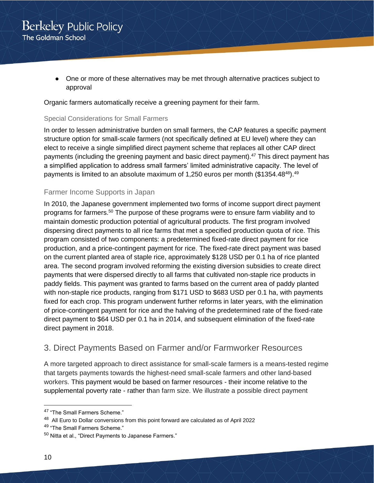• One or more of these alternatives may be met through alternative practices subject to approval

Organic farmers automatically receive a greening payment for their farm.

### Special Considerations for Small Farmers

In order to lessen administrative burden on small farmers, the CAP features a specific payment structure option for small-scale farmers (not specifically defined at EU level) where they can elect to receive a single simplified direct payment scheme that replaces all other CAP direct payments (including the greening payment and basic direct payment).<sup>47</sup> This direct payment has a simplified application to address small farmers' limited administrative capacity. The level of payments is limited to an absolute maximum of 1,250 euros per month (\$1354.48<sup>48</sup>).<sup>49</sup>

### Farmer Income Supports in Japan

In 2010, the Japanese government implemented two forms of income support direct payment programs for farmers.<sup>50</sup> The purpose of these programs were to ensure farm viability and to maintain domestic production potential of agricultural products. The first program involved dispersing direct payments to all rice farms that met a specified production quota of rice. This program consisted of two components: a predetermined fixed-rate direct payment for rice production, and a price-contingent payment for rice. The fixed-rate direct payment was based on the current planted area of staple rice, approximately \$128 USD per 0.1 ha of rice planted area. The second program involved reforming the existing diversion subsidies to create direct payments that were dispersed directly to all farms that cultivated non-staple rice products in paddy fields. This payment was granted to farms based on the current area of paddy planted with non-staple rice products, ranging from \$171 USD to \$683 USD per 0.1 ha, with payments fixed for each crop. This program underwent further reforms in later years, with the elimination of price-contingent payment for rice and the halving of the predetermined rate of the fixed-rate direct payment to \$64 USD per 0.1 ha in 2014, and subsequent elimination of the fixed-rate direct payment in 2018.

# <span id="page-9-0"></span>3. Direct Payments Based on Farmer and/or Farmworker Resources

A more targeted approach to direct assistance for small-scale farmers is a means-tested regime that targets payments towards the highest-need small-scale farmers and other land-based workers. This payment would be based on farmer resources - their income relative to the supplemental poverty rate - rather than farm size. We illustrate a possible direct payment

<sup>47 &</sup>quot;The Small Farmers Scheme."

<sup>&</sup>lt;sup>48</sup> All Euro to Dollar conversions from this point forward are calculated as of April 2022

<sup>49</sup> "The Small Farmers Scheme."

<sup>50</sup> Nitta et al., "Direct Payments to Japanese Farmers."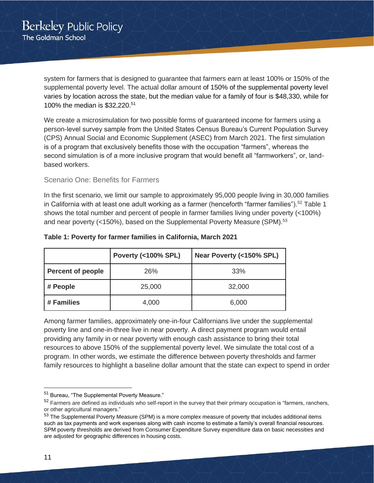system for farmers that is designed to guarantee that farmers earn at least 100% or 150% of the supplemental poverty level. The actual dollar amount of 150% of the supplemental poverty level varies by location across the state, but the median value for a family of four is \$48,330, while for 100% the median is \$32,220. 51

We create a microsimulation for two possible forms of guaranteed income for farmers using a person-level survey sample from the United States Census Bureau's Current Population Survey (CPS) Annual Social and Economic Supplement (ASEC) from March 2021. The first simulation is of a program that exclusively benefits those with the occupation "farmers", whereas the second simulation is of a more inclusive program that would benefit all "farmworkers", or, landbased workers.

### Scenario One: Benefits for Farmers

In the first scenario, we limit our sample to approximately 95,000 people living in 30,000 families in California with at least one adult working as a farmer (henceforth "farmer families").<sup>52</sup> Table 1 shows the total number and percent of people in farmer families living under poverty (<100%) and near poverty (<150%), based on the Supplemental Poverty Measure (SPM).<sup>53</sup>

|                          | <b>Poverty (&lt;100% SPL)</b> | Near Poverty (<150% SPL) |
|--------------------------|-------------------------------|--------------------------|
| <b>Percent of people</b> | 26%                           | 33%                      |
| # People                 | 25,000                        | 32,000                   |
| # Families               | 4,000                         | 6,000                    |

#### **Table 1: Poverty for farmer families in California, March 2021**

Among farmer families, approximately one-in-four Californians live under the supplemental poverty line and one-in-three live in near poverty. A direct payment program would entail providing any family in or near poverty with enough cash assistance to bring their total resources to above 150% of the supplemental poverty level. We simulate the total cost of a program. In other words, we estimate the difference between poverty thresholds and farmer family resources to highlight a baseline dollar amount that the state can expect to spend in order

<sup>51</sup> Bureau, "The Supplemental Poverty Measure."

<sup>52</sup> Farmers are defined as individuals who self-report in the survey that their primary occupation is "farmers, ranchers, or other agricultural managers."

<sup>53</sup> The Supplemental Poverty Measure (SPM) is a more complex measure of poverty that includes additional items such as tax payments and work expenses along with cash income to estimate a family's overall financial resources. SPM poverty thresholds are derived from Consumer Expenditure Survey expenditure data on basic necessities and are adjusted for geographic differences in housing costs.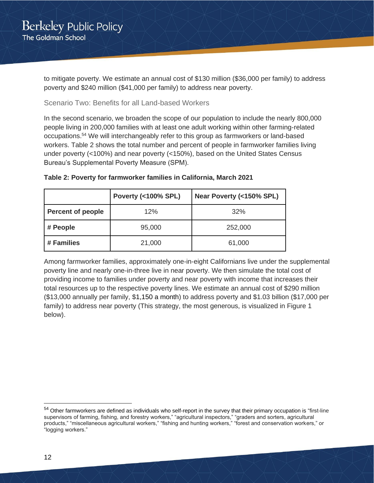to mitigate poverty. We estimate an annual cost of \$130 million (\$36,000 per family) to address poverty and \$240 million (\$41,000 per family) to address near poverty.

### Scenario Two: Benefits for all Land-based Workers

In the second scenario, we broaden the scope of our population to include the nearly 800,000 people living in 200,000 families with at least one adult working within other farming-related occupations.<sup>54</sup> We will interchangeably refer to this group as farmworkers or land-based workers. Table 2 shows the total number and percent of people in farmworker families living under poverty (<100%) and near poverty (<150%), based on the United States Census Bureau's Supplemental Poverty Measure (SPM).

|                          | <b>Poverty (&lt;100% SPL)</b> | Near Poverty (<150% SPL) |
|--------------------------|-------------------------------|--------------------------|
| <b>Percent of people</b> | 12%                           | 32%                      |
| # People                 | 95,000                        | 252,000                  |
| # Families               | 21,000                        | 61,000                   |

### **Table 2: Poverty for farmworker families in California, March 2021**

Among farmworker families, approximately one-in-eight Californians live under the supplemental poverty line and nearly one-in-three live in near poverty. We then simulate the total cost of providing income to families under poverty and near poverty with income that increases their total resources up to the respective poverty lines. We estimate an annual cost of \$290 million (\$13,000 annually per family, \$1,150 a month) to address poverty and \$1.03 billion (\$17,000 per family) to address near poverty (This strategy, the most generous, is visualized in Figure 1 below).

<sup>&</sup>lt;sup>54</sup> Other farmworkers are defined as individuals who self-report in the survey that their primary occupation is "first-line supervisors of farming, fishing, and forestry workers," "agricultural inspectors," "graders and sorters, agricultural products," "miscellaneous agricultural workers," "fishing and hunting workers," "forest and conservation workers," or "logging workers."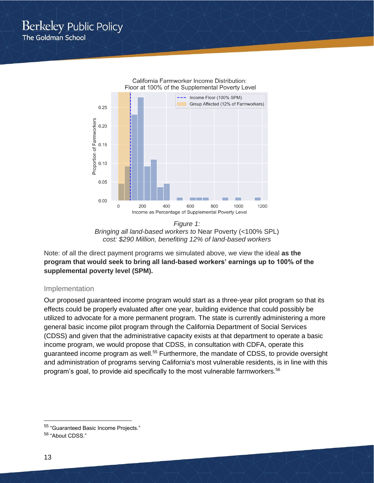



Note: of all the direct payment programs we simulated above, we view the ideal **as the program that would seek to bring all land-based workers' earnings up to 100% of the supplemental poverty level (SPM).**

### Implementation

Our proposed guaranteed income program would start as a three-year pilot program so that its effects could be properly evaluated after one year, building evidence that could possibly be utilized to advocate for a more permanent program. The state is currently administering a more general basic income pilot program through the California Department of Social Services (CDSS) and given that the administrative capacity exists at that department to operate a basic income program, we would propose that CDSS, in consultation with CDFA, operate this guaranteed income program as well.<sup>55</sup> Furthermore, the mandate of CDSS, to provide oversight and administration of programs serving California's most vulnerable residents, is in line with this program's goal, to provide aid specifically to the most vulnerable farmworkers.<sup>56</sup>

<sup>55</sup> "Guaranteed Basic Income Projects."

<sup>56</sup> "About CDSS."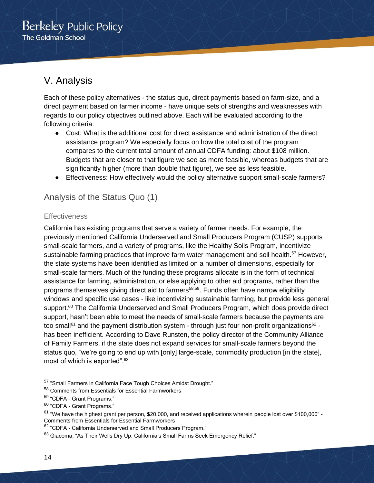# <span id="page-13-0"></span>V. Analysis

Each of these policy alternatives - the status quo, direct payments based on farm-size, and a direct payment based on farmer income - have unique sets of strengths and weaknesses with regards to our policy objectives outlined above. Each will be evaluated according to the following criteria:

- Cost: What is the additional cost for direct assistance and administration of the direct assistance program? We especially focus on how the total cost of the program compares to the current total amount of annual CDFA funding: about \$108 million. Budgets that are closer to that figure we see as more feasible, whereas budgets that are significantly higher (more than double that figure), we see as less feasible.
- Effectiveness: How effectively would the policy alternative support small-scale farmers?

# <span id="page-13-1"></span>Analysis of the Status Quo (1)

### **Effectiveness**

California has existing programs that serve a variety of farmer needs. For example, the previously mentioned California Underserved and Small Producers Program (CUSP) supports small-scale farmers, and a variety of programs, like the Healthy Soils Program, incentivize sustainable farming practices that improve farm water management and soil health.<sup>57</sup> However, the state systems have been identified as limited on a number of dimensions, especially for small-scale farmers. Much of the funding these programs allocate is in the form of technical assistance for farming, administration, or else applying to other aid programs, rather than the programs themselves giving direct aid to farmers<sup>58,59</sup>. Funds often have narrow eligibility windows and specific use cases - like incentivizing sustainable farming, but provide less general support.<sup>60</sup> The California Underserved and Small Producers Program, which does provide direct support, hasn't been able to meet the needs of small-scale farmers because the payments are too small<sup>61</sup> and the payment distribution system - through just four non-profit organizations<sup>62</sup> has been inefficient. According to Dave Runsten, the policy director of the Community Alliance of Family Farmers, if the state does not expand services for small-scale farmers beyond the status quo, "we're going to end up with [only] large-scale, commodity production [in the state], most of which is exported".<sup>63</sup>

<sup>57</sup> "Small Farmers in California Face Tough Choices Amidst Drought."

<sup>58</sup> Comments from Essentials for Essential Farmworkers

<sup>59</sup> "CDFA - Grant Programs."

<sup>60</sup> "CDFA - Grant Programs."

<sup>&</sup>lt;sup>61</sup> "We have the highest grant per person, \$20,000, and received applications wherein people lost over \$100,000" -Comments from Essentials for Essential Farmworkers

<sup>62</sup> "CDFA - California Underserved and Small Producers Program."

<sup>&</sup>lt;sup>63</sup> Giacoma, "As Their Wells Dry Up, California's Small Farms Seek Emergency Relief."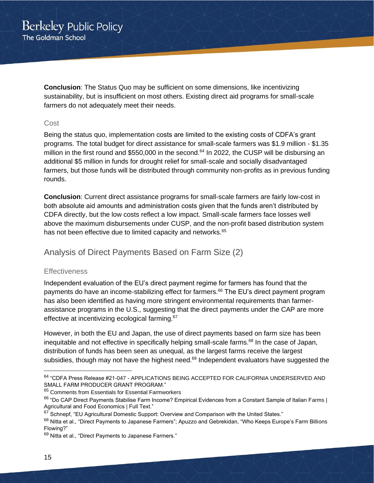**Conclusion**: The Status Quo may be sufficient on some dimensions, like incentivizing sustainability, but is insufficient on most others. Existing direct aid programs for small-scale farmers do not adequately meet their needs.

### Cost

Being the status quo, implementation costs are limited to the existing costs of CDFA's grant programs. The total budget for direct assistance for small-scale farmers was \$1.9 million - \$1.35 million in the first round and \$550,000 in the second.<sup>64</sup> In 2022, the CUSP will be disbursing an additional \$5 million in funds for drought relief for small-scale and socially disadvantaged farmers, but those funds will be distributed through community non-profits as in previous funding rounds.

**Conclusion**: Current direct assistance programs for small-scale farmers are fairly low-cost in both absolute aid amounts and administration costs given that the funds aren't distributed by CDFA directly, but the low costs reflect a low impact. Small-scale farmers face losses well above the maximum disbursements under CUSP, and the non-profit based distribution system has not been effective due to limited capacity and networks.<sup>65</sup>

<span id="page-14-0"></span>Analysis of Direct Payments Based on Farm Size (2)

### **Effectiveness**

Independent evaluation of the EU's direct payment regime for farmers has found that the payments do have an income-stabilizing effect for farmers.<sup>66</sup> The EU's direct payment program has also been identified as having more stringent environmental requirements than farmerassistance programs in the U.S., suggesting that the direct payments under the CAP are more effective at incentivizing ecological farming.<sup>67</sup>

However, in both the EU and Japan, the use of direct payments based on farm size has been inequitable and not effective in specifically helping small-scale farms.<sup>68</sup> In the case of Japan, distribution of funds has been seen as unequal, as the largest farms receive the largest subsidies, though may not have the highest need.<sup>69</sup> Independent evaluators have suggested the

<sup>64</sup> "CDFA Press Release #21-047 - APPLICATIONS BEING ACCEPTED FOR CALIFORNIA UNDERSERVED AND SMALL FARM PRODUCER GRANT PROGRAM."

<sup>&</sup>lt;sup>65</sup> Comments from Essentials for Essential Farmworkers

<sup>&</sup>lt;sup>66</sup> "Do CAP Direct Payments Stabilise Farm Income? Empirical Evidences from a Constant Sample of Italian Farms | Agricultural and Food Economics | Full Text."

 $67$  Schnepf, "EU Agricultural Domestic Support: Overview and Comparison with the United States."

<sup>68</sup> Nitta et al., "Direct Payments to Japanese Farmers"; Apuzzo and Gebrekidan, "Who Keeps Europe's Farm Billions Flowing?"

<sup>&</sup>lt;sup>69</sup> Nitta et al., "Direct Payments to Japanese Farmers."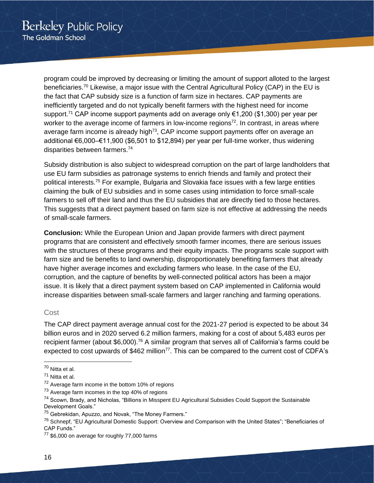program could be improved by decreasing or limiting the amount of support alloted to the largest beneficiaries.<sup>70</sup> Likewise, a major issue with the Central Agricultural Policy (CAP) in the EU is the fact that CAP subsidy size is a function of farm size in hectares. CAP payments are inefficiently targeted and do not typically benefit farmers with the highest need for income support.<sup>71</sup> CAP income support payments add on average only €1,200 (\$1,300) per year per worker to the average income of farmers in low-income regions<sup>72</sup>. In contrast, in areas where average farm income is already high<sup>73</sup>, CAP income support payments offer on average an additional €6,000–€11,900 (\$6,501 to \$12,894) per year per full-time worker, thus widening disparities between farmers.<sup>74</sup>

Subsidy distribution is also subject to widespread corruption on the part of large landholders that use EU farm subsidies as patronage systems to enrich friends and family and protect their political interests.<sup>75</sup> For example, Bulgaria and Slovakia face issues with a few large entities claiming the bulk of EU subsidies and in some cases using intimidation to force small-scale farmers to sell off their land and thus the EU subsidies that are directly tied to those hectares. This suggests that a direct payment based on farm size is not effective at addressing the needs of small-scale farmers.

**Conclusion:** While the European Union and Japan provide farmers with direct payment programs that are consistent and effectively smooth farmer incomes, there are serious issues with the structures of these programs and their equity impacts. The programs scale support with farm size and tie benefits to land ownership, disproportionately benefiting farmers that already have higher average incomes and excluding farmers who lease. In the case of the EU, corruption, and the capture of benefits by well-connected political actors has been a major issue. It is likely that a direct payment system based on CAP implemented in California would increase disparities between small-scale farmers and larger ranching and farming operations.

### Cost

The CAP direct payment average annual cost for the 2021-27 period is expected to be about 34 billion euros and in 2020 served 6.2 million farmers, making for a cost of about 5,483 euros per recipient farmer (about \$6,000).<sup>76</sup> A similar program that serves all of California's farms could be expected to cost upwards of \$462 million<sup>77</sup>. This can be compared to the current cost of CDFA's

<sup>70</sup> Nitta et al.

<sup>71</sup> Nitta et al.

<sup>&</sup>lt;sup>72</sup> Average farm income in the bottom 10% of regions

 $73$  Average farm incomes in the top 40% of regions

<sup>74</sup> Scown, Brady, and Nicholas, "Billions in Misspent EU Agricultural Subsidies Could Support the Sustainable Development Goals."

<sup>75</sup> Gebrekidan, Apuzzo, and Novak, "The Money Farmers."

<sup>&</sup>lt;sup>76</sup> Schnepf, "EU Agricultural Domestic Support: Overview and Comparison with the United States"; "Beneficiaries of CAP Funds."

<sup>&</sup>lt;sup>77</sup> \$6,000 on average for roughly 77,000 farms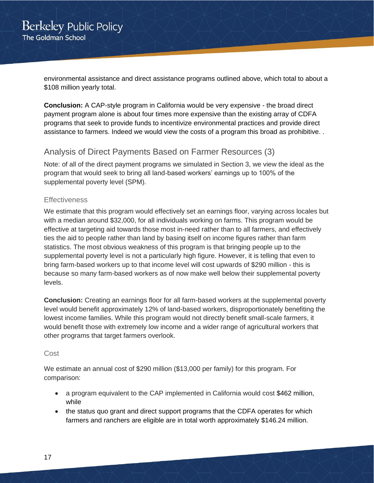environmental assistance and direct assistance programs outlined above, which total to about a \$108 million yearly total.

**Conclusion:** A CAP-style program in California would be very expensive - the broad direct payment program alone is about four times more expensive than the existing array of CDFA programs that seek to provide funds to incentivize environmental practices and provide direct assistance to farmers. Indeed we would view the costs of a program this broad as prohibitive. .

# <span id="page-16-0"></span>Analysis of Direct Payments Based on Farmer Resources (3)

Note: of all of the direct payment programs we simulated in Section 3, we view the ideal as the program that would seek to bring all land-based workers' earnings up to 100% of the supplemental poverty level (SPM).

### **Effectiveness**

We estimate that this program would effectively set an earnings floor, varying across locales but with a median around \$32,000, for all individuals working on farms. This program would be effective at targeting aid towards those most in-need rather than to all farmers, and effectively ties the aid to people rather than land by basing itself on income figures rather than farm statistics. The most obvious weakness of this program is that bringing people up to the supplemental poverty level is not a particularly high figure. However, it is telling that even to bring farm-based workers up to that income level will cost upwards of \$290 million - this is because so many farm-based workers as of now make well below their supplemental poverty levels.

**Conclusion:** Creating an earnings floor for all farm-based workers at the supplemental poverty level would benefit approximately 12% of land-based workers, disproportionately benefiting the lowest income families. While this program would not directly benefit small-scale farmers, it would benefit those with extremely low income and a wider range of agricultural workers that other programs that target farmers overlook.

### Cost

We estimate an annual cost of \$290 million (\$13,000 per family) for this program. For comparison:

- a program equivalent to the CAP implemented in California would cost \$462 million, while
- the status quo grant and direct support programs that the CDFA operates for which farmers and ranchers are eligible are in total worth approximately \$146.24 million.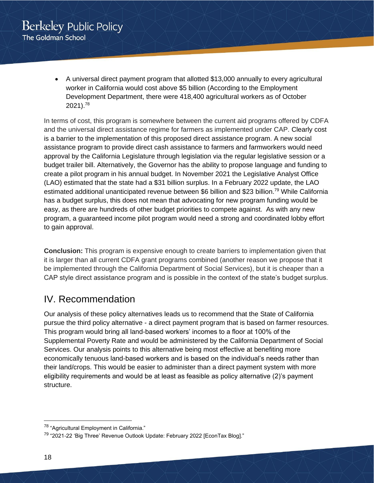• A universal direct payment program that allotted \$13,000 annually to every agricultural worker in California would cost above \$5 billion (According to the Employment Development Department, there were 418,400 agricultural workers as of October 2021). 78

In terms of cost, this program is somewhere between the current aid programs offered by CDFA and the universal direct assistance regime for farmers as implemented under CAP. Clearly cost is a barrier to the implementation of this proposed direct assistance program. A new social assistance program to provide direct cash assistance to farmers and farmworkers would need approval by the California Legislature through legislation via the regular legislative session or a budget trailer bill. Alternatively, the Governor has the ability to propose language and funding to create a pilot program in his annual budget. In November 2021 the Legislative Analyst Office (LAO) estimated that the state had a \$31 billion surplus. In a February 2022 update, the LAO estimated additional unanticipated revenue between \$6 billion and \$23 billion.<sup>79</sup> While California has a budget surplus, this does not mean that advocating for new program funding would be easy, as there are hundreds of other budget priorities to compete against. As with any new program, a guaranteed income pilot program would need a strong and coordinated lobby effort to gain approval.

**Conclusion:** This program is expensive enough to create barriers to implementation given that it is larger than all current CDFA grant programs combined (another reason we propose that it be implemented through the California Department of Social Services), but it is cheaper than a CAP style direct assistance program and is possible in the context of the state's budget surplus.

# <span id="page-17-0"></span>IV. Recommendation

Our analysis of these policy alternatives leads us to recommend that the State of California pursue the third policy alternative - a direct payment program that is based on farmer resources. This program would bring all land-based workers' incomes to a floor at 100% of the Supplemental Poverty Rate and would be administered by the California Department of Social Services. Our analysis points to this alternative being most effective at benefiting more economically tenuous land-based workers and is based on the individual's needs rather than their land/crops. This would be easier to administer than a direct payment system with more eligibility requirements and would be at least as feasible as policy alternative (2)'s payment structure.

<sup>78</sup> "Agricultural Employment in California."

<sup>&</sup>lt;sup>79</sup> "2021-22 'Big Three' Revenue Outlook Update: February 2022 [EconTax Blog]."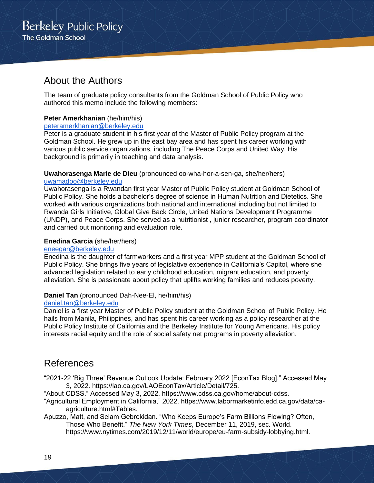# <span id="page-18-0"></span>About the Authors

The team of graduate policy consultants from the Goldman School of Public Policy who authored this memo include the following members:

### **Peter Amerkhanian** (he/him/his)

### [peteramerkhanian@berkeley.edu](mailto:peteramerkhanian@berkeley.edu)

Peter is a graduate student in his first year of the Master of Public Policy program at the Goldman School. He grew up in the east bay area and has spent his career working with various public service organizations, including The Peace Corps and United Way. His background is primarily in teaching and data analysis.

### **Uwahorasenga Marie de Dieu** (pronounced oo-wha-hor-a-sen-ga, she/her/hers)

### [uwamadoo@berkeley.edu](mailto:uwamadoo@berkeley.edu)

Uwahorasenga is a Rwandan first year Master of Public Policy student at Goldman School of Public Policy. She holds a bachelor's degree of science in Human Nutrition and Dietetics. She worked with various organizations both national and international including but not limited to Rwanda Girls Initiative, Global Give Back Circle, United Nations Development Programme (UNDP), and Peace Corps. She served as a nutritionist , junior researcher, program coordinator and carried out monitoring and evaluation role.

### **Enedina Garcia** (she/her/hers)

### [eneegar@berkeley.edu](mailto:eneegar@berkeley.edu)

Enedina is the daughter of farmworkers and a first year MPP student at the Goldman School of Public Policy. She brings five years of legislative experience in California's Capitol, where she advanced legislation related to early childhood education, migrant education, and poverty alleviation. She is passionate about policy that uplifts working families and reduces poverty.

### **Daniel Tan** (pronounced Dah-Nee-El, he/him/his)

#### [daniel.tan@berkeley.edu](mailto:daniel.tan@berkeley.edu)

Daniel is a first year Master of Public Policy student at the Goldman School of Public Policy. He hails from Manila, Philippines, and has spent his career working as a policy researcher at the Public Policy Institute of California and the Berkeley Institute for Young Americans. His policy interests racial equity and the role of social safety net programs in poverty alleviation.

# <span id="page-18-1"></span>References

"2021-22 'Big Three' Revenue Outlook Update: February 2022 [EconTax Blog]." Accessed May 3, 2022. https://lao.ca.gov/LAOEconTax/Article/Detail/725.

"About CDSS." Accessed May 3, 2022. https://www.cdss.ca.gov/home/about-cdss.

- "Agricultural Employment in California," 2022. https://www.labormarketinfo.edd.ca.gov/data/caagriculture.html#Tables.
- Apuzzo, Matt, and Selam Gebrekidan. "Who Keeps Europe's Farm Billions Flowing? Often, Those Who Benefit." *The New York Times*, December 11, 2019, sec. World. https://www.nytimes.com/2019/12/11/world/europe/eu-farm-subsidy-lobbying.html.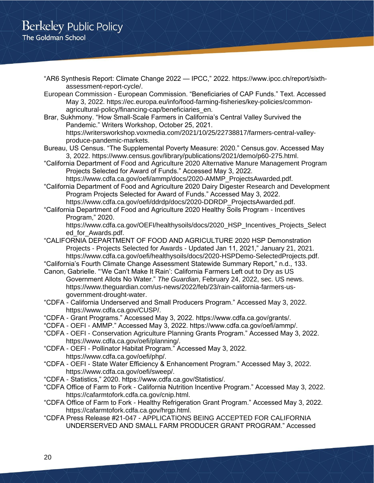- "AR6 Synthesis Report: Climate Change 2022 IPCC," 2022. https://www.ipcc.ch/report/sixthassessment-report-cycle/.
- European Commission European Commission. "Beneficiaries of CAP Funds." Text. Accessed May 3, 2022. https://ec.europa.eu/info/food-farming-fisheries/key-policies/commonagricultural-policy/financing-cap/beneficiaries\_en.
- Brar, Sukhmony. "How Small-Scale Farmers in California's Central Valley Survived the Pandemic." Writers Workshop, October 25, 2021. https://writersworkshop.voxmedia.com/2021/10/25/22738817/farmers-central-valleyproduce-pandemic-markets.
- Bureau, US Census. "The Supplemental Poverty Measure: 2020." Census.gov. Accessed May 3, 2022. https://www.census.gov/library/publications/2021/demo/p60-275.html.
- "California Department of Food and Agriculture 2020 Alternative Manure Management Program Projects Selected for Award of Funds." Accessed May 3, 2022.
- https://www.cdfa.ca.gov/oefi/ammp/docs/2020-AMMP\_ProjectsAwarded.pdf. "California Department of Food and Agriculture 2020 Dairy Digester Research and Development Program Projects Selected for Award of Funds." Accessed May 3, 2022. https://www.cdfa.ca.gov/oefi/ddrdp/docs/2020-DDRDP\_ProjectsAwarded.pdf.
- "California Department of Food and Agriculture 2020 Healthy Soils Program Incentives Program," 2020.

https://www.cdfa.ca.gov/OEFI/healthysoils/docs/2020\_HSP\_Incentives\_Projects\_Select ed\_for\_Awards.pdf.

- "CALIFORNIA DEPARTMENT OF FOOD AND AGRICULTURE 2020 HSP Demonstration Projects - Projects Selected for Awards - Updated Jan 11, 2021," January 21, 2021. https://www.cdfa.ca.gov/oefi/healthysoils/docs/2020-HSPDemo-SelectedProjects.pdf.
- "California's Fourth Climate Change Assessment Statewide Summary Report," n.d., 133. Canon, Gabrielle. "'We Can't Make It Rain': California Farmers Left out to Dry as US
	- Government Allots No Water." *The Guardian*, February 24, 2022, sec. US news. https://www.theguardian.com/us-news/2022/feb/23/rain-california-farmers-usgovernment-drought-water.
- "CDFA California Underserved and Small Producers Program." Accessed May 3, 2022. https://www.cdfa.ca.gov/CUSP/.
- "CDFA Grant Programs." Accessed May 3, 2022. https://www.cdfa.ca.gov/grants/.
- "CDFA OEFI AMMP." Accessed May 3, 2022. https://www.cdfa.ca.gov/oefi/ammp/.
- "CDFA OEFI Conservation Agriculture Planning Grants Program." Accessed May 3, 2022. https://www.cdfa.ca.gov/oefi/planning/.
- "CDFA OEFI Pollinator Habitat Program." Accessed May 3, 2022. https://www.cdfa.ca.gov/oefi/php/.
- "CDFA OEFI State Water Efficiency & Enhancement Program." Accessed May 3, 2022. https://www.cdfa.ca.gov/oefi/sweep/.
- "CDFA Statistics," 2020. https://www.cdfa.ca.gov/Statistics/.
- "CDFA Office of Farm to Fork California Nutrition Incentive Program." Accessed May 3, 2022. https://cafarmtofork.cdfa.ca.gov/cnip.html.
- "CDFA Office of Farm to Fork Healthy Refrigeration Grant Program." Accessed May 3, 2022. https://cafarmtofork.cdfa.ca.gov/hrgp.html.
- "CDFA Press Release #21-047 APPLICATIONS BEING ACCEPTED FOR CALIFORNIA UNDERSERVED AND SMALL FARM PRODUCER GRANT PROGRAM." Accessed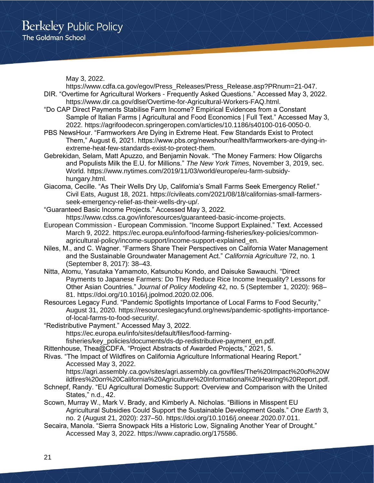May 3, 2022.

https://www.cdfa.ca.gov/egov/Press\_Releases/Press\_Release.asp?PRnum=21-047. DIR. "Overtime for Agricultural Workers - Frequently Asked Questions." Accessed May 3, 2022.

- https://www.dir.ca.gov/dlse/Overtime-for-Agricultural-Workers-FAQ.html.
- "Do CAP Direct Payments Stabilise Farm Income? Empirical Evidences from a Constant Sample of Italian Farms | Agricultural and Food Economics | Full Text." Accessed May 3, 2022. https://agrifoodecon.springeropen.com/articles/10.1186/s40100-016-0050-0.
- PBS NewsHour. "Farmworkers Are Dying in Extreme Heat. Few Standards Exist to Protect Them," August 6, 2021. https://www.pbs.org/newshour/health/farmworkers-are-dying-inextreme-heat-few-standards-exist-to-protect-them.
- Gebrekidan, Selam, Matt Apuzzo, and Benjamin Novak. "The Money Farmers: How Oligarchs and Populists Milk the E.U. for Millions." *The New York Times*, November 3, 2019, sec. World. https://www.nytimes.com/2019/11/03/world/europe/eu-farm-subsidyhungary.html.
- Giacoma, Cecille. "As Their Wells Dry Up, California's Small Farms Seek Emergency Relief." Civil Eats, August 18, 2021. https://civileats.com/2021/08/18/californias-small-farmersseek-emergency-relief-as-their-wells-dry-up/.
- "Guaranteed Basic Income Projects." Accessed May 3, 2022. https://www.cdss.ca.gov/inforesources/guaranteed-basic-income-projects.
- European Commission European Commission. "Income Support Explained." Text. Accessed March 9, 2022. https://ec.europa.eu/info/food-farming-fisheries/key-policies/commonagricultural-policy/income-support/income-support-explained\_en.
- Niles, M., and C. Wagner. "Farmers Share Their Perspectives on California Water Management and the Sustainable Groundwater Management Act." *California Agriculture* 72, no. 1 (September 8, 2017): 38–43.
- Nitta, Atomu, Yasutaka Yamamoto, Katsunobu Kondo, and Daisuke Sawauchi. "Direct Payments to Japanese Farmers: Do They Reduce Rice Income Inequality? Lessons for Other Asian Countries." *Journal of Policy Modeling* 42, no. 5 (September 1, 2020): 968– 81. https://doi.org/10.1016/j.jpolmod.2020.02.006.
- Resources Legacy Fund. "Pandemic Spotlights Importance of Local Farms to Food Security," August 31, 2020. https://resourceslegacyfund.org/news/pandemic-spotlights-importanceof-local-farms-to-food-security/.
- "Redistributive Payment." Accessed May 3, 2022.

https://ec.europa.eu/info/sites/default/files/food-farming-

fisheries/key\_policies/documents/ds-dp-redistributive-payment\_en.pdf.

- Rittenhouse, Thea@CDFA. "Project Abstracts of Awarded Projects," 2021, 5.
- Rivas. "The Impact of Wildfires on California Agriculture Informational Hearing Report." Accessed May 3, 2022.

https://agri.assembly.ca.gov/sites/agri.assembly.ca.gov/files/The%20Impact%20of%20W ildfires%20on%20California%20Agriculture%20Informational%20Hearing%20Report.pdf.

- Schnepf, Randy. "EU Agricultural Domestic Support: Overview and Comparison with the United States," n.d., 42.
- Scown, Murray W., Mark V. Brady, and Kimberly A. Nicholas. "Billions in Misspent EU Agricultural Subsidies Could Support the Sustainable Development Goals." *One Earth* 3, no. 2 (August 21, 2020): 237–50. https://doi.org/10.1016/j.oneear.2020.07.011.
- Secaira, Manola. "Sierra Snowpack Hits a Historic Low, Signaling Another Year of Drought." Accessed May 3, 2022. https://www.capradio.org/175586.